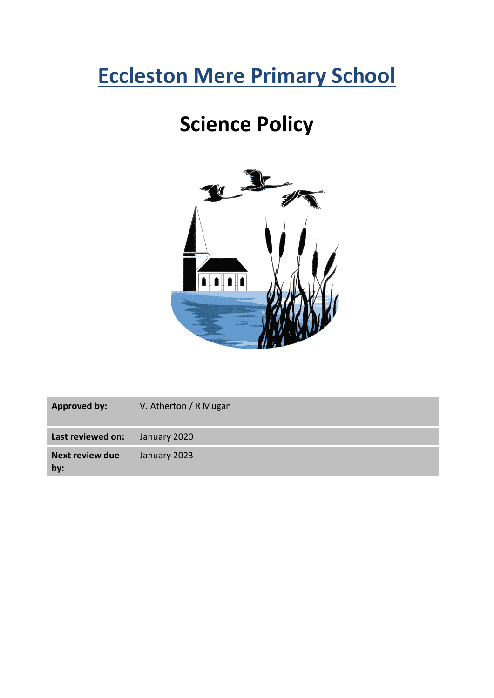# **Eccleston Mere Primary School**

# **Science Policy**



| <b>Approved by:</b>           | V. Atherton / R Mugan |
|-------------------------------|-----------------------|
| Last reviewed on:             | January 2020          |
| <b>Next review due</b><br>by: | January 2023          |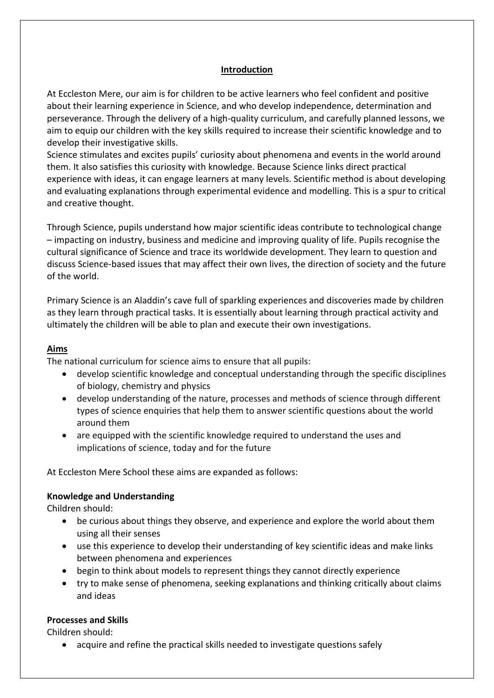#### **Introduction**

At Eccleston Mere, our aim is for children to be active learners who feel confident and positive about their learning experience in Science, and who develop independence, determination and perseverance. Through the delivery of a high-quality curriculum, and carefully planned lessons, we aim to equip our children with the key skills required to increase their scientific knowledge and to develop their investigative skills.

Science stimulates and excites pupils' curiosity about phenomena and events in the world around them. It also satisfies this curiosity with knowledge. Because Science links direct practical experience with ideas, it can engage learners at many levels. Scientific method is about developing and evaluating explanations through experimental evidence and modelling. This is a spur to critical and creative thought.

Through Science, pupils understand how major scientific ideas contribute to technological change – impacting on industry, business and medicine and improving quality of life. Pupils recognise the cultural significance of Science and trace its worldwide development. They learn to question and discuss Science-based issues that may affect their own lives, the direction of society and the future of the world.

Primary Science is an Aladdin's cave full of sparkling experiences and discoveries made by children as they learn through practical tasks. It is essentially about learning through practical activity and ultimately the children will be able to plan and execute their own investigations.

#### **Aims**

The national curriculum for science aims to ensure that all pupils:

- develop scientific knowledge and conceptual understanding through the specific disciplines of biology, chemistry and physics
- develop understanding of the nature, processes and methods of science through different types of science enquiries that help them to answer scientific questions about the world around them
- are equipped with the scientific knowledge required to understand the uses and implications of science, today and for the future

At Eccleston Mere School these aims are expanded as follows:

#### **Knowledge and Understanding**

Children should:

- be curious about things they observe, and experience and explore the world about them using all their senses
- use this experience to develop their understanding of key scientific ideas and make links between phenomena and experiences
- begin to think about models to represent things they cannot directly experience
- try to make sense of phenomena, seeking explanations and thinking critically about claims and ideas

#### **Processes and Skills**

Children should:

• acquire and refine the practical skills needed to investigate questions safely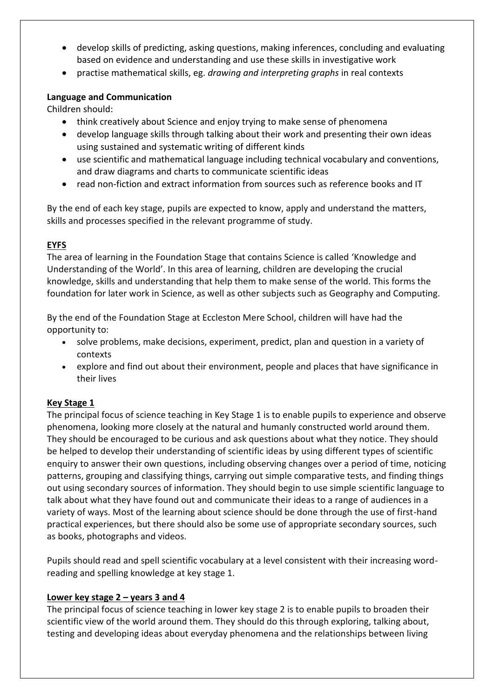- develop skills of predicting, asking questions, making inferences, concluding and evaluating based on evidence and understanding and use these skills in investigative work
- practise mathematical skills, eg. *drawing and interpreting graphs* in real contexts

## **Language and Communication**

Children should:

- think creatively about Science and enjoy trying to make sense of phenomena
- develop language skills through talking about their work and presenting their own ideas using sustained and systematic writing of different kinds
- use scientific and mathematical language including technical vocabulary and conventions, and draw diagrams and charts to communicate scientific ideas
- read non-fiction and extract information from sources such as reference books and IT

By the end of each key stage, pupils are expected to know, apply and understand the matters, skills and processes specified in the relevant programme of study.

## **EYFS**

The area of learning in the Foundation Stage that contains Science is called 'Knowledge and Understanding of the World'. In this area of learning, children are developing the crucial knowledge, skills and understanding that help them to make sense of the world. This forms the foundation for later work in Science, as well as other subjects such as Geography and Computing.

By the end of the Foundation Stage at Eccleston Mere School, children will have had the opportunity to:

- solve problems, make decisions, experiment, predict, plan and question in a variety of contexts
- explore and find out about their environment, people and places that have significance in their lives

# **Key Stage 1**

The principal focus of science teaching in Key Stage 1 is to enable pupils to experience and observe phenomena, looking more closely at the natural and humanly constructed world around them. They should be encouraged to be curious and ask questions about what they notice. They should be helped to develop their understanding of scientific ideas by using different types of scientific enquiry to answer their own questions, including observing changes over a period of time, noticing patterns, grouping and classifying things, carrying out simple comparative tests, and finding things out using secondary sources of information. They should begin to use simple scientific language to talk about what they have found out and communicate their ideas to a range of audiences in a variety of ways. Most of the learning about science should be done through the use of first-hand practical experiences, but there should also be some use of appropriate secondary sources, such as books, photographs and videos.

Pupils should read and spell scientific vocabulary at a level consistent with their increasing wordreading and spelling knowledge at key stage 1.

## **Lower key stage 2 – years 3 and 4**

The principal focus of science teaching in lower key stage 2 is to enable pupils to broaden their scientific view of the world around them. They should do this through exploring, talking about, testing and developing ideas about everyday phenomena and the relationships between living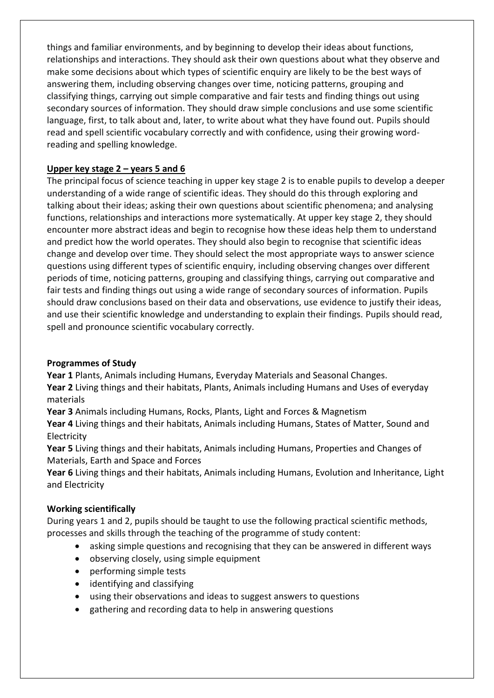things and familiar environments, and by beginning to develop their ideas about functions, relationships and interactions. They should ask their own questions about what they observe and make some decisions about which types of scientific enquiry are likely to be the best ways of answering them, including observing changes over time, noticing patterns, grouping and classifying things, carrying out simple comparative and fair tests and finding things out using secondary sources of information. They should draw simple conclusions and use some scientific language, first, to talk about and, later, to write about what they have found out. Pupils should read and spell scientific vocabulary correctly and with confidence, using their growing wordreading and spelling knowledge.

## **Upper key stage 2 – years 5 and 6**

The principal focus of science teaching in upper key stage 2 is to enable pupils to develop a deeper understanding of a wide range of scientific ideas. They should do this through exploring and talking about their ideas; asking their own questions about scientific phenomena; and analysing functions, relationships and interactions more systematically. At upper key stage 2, they should encounter more abstract ideas and begin to recognise how these ideas help them to understand and predict how the world operates. They should also begin to recognise that scientific ideas change and develop over time. They should select the most appropriate ways to answer science questions using different types of scientific enquiry, including observing changes over different periods of time, noticing patterns, grouping and classifying things, carrying out comparative and fair tests and finding things out using a wide range of secondary sources of information. Pupils should draw conclusions based on their data and observations, use evidence to justify their ideas, and use their scientific knowledge and understanding to explain their findings. Pupils should read, spell and pronounce scientific vocabulary correctly.

## **Programmes of Study**

**Year 1** Plants, Animals including Humans, Everyday Materials and Seasonal Changes.

**Year 2** Living things and their habitats, Plants, Animals including Humans and Uses of everyday materials

**Year 3** Animals including Humans, Rocks, Plants, Light and Forces & Magnetism

**Year 4** Living things and their habitats, Animals including Humans, States of Matter, Sound and Electricity

**Year 5** Living things and their habitats, Animals including Humans, Properties and Changes of Materials, Earth and Space and Forces

**Year 6** Living things and their habitats, Animals including Humans, Evolution and Inheritance, Light and Electricity

# **Working scientifically**

During years 1 and 2, pupils should be taught to use the following practical scientific methods, processes and skills through the teaching of the programme of study content:

- asking simple questions and recognising that they can be answered in different ways
- observing closely, using simple equipment
- performing simple tests
- identifying and classifying
- using their observations and ideas to suggest answers to questions
- gathering and recording data to help in answering questions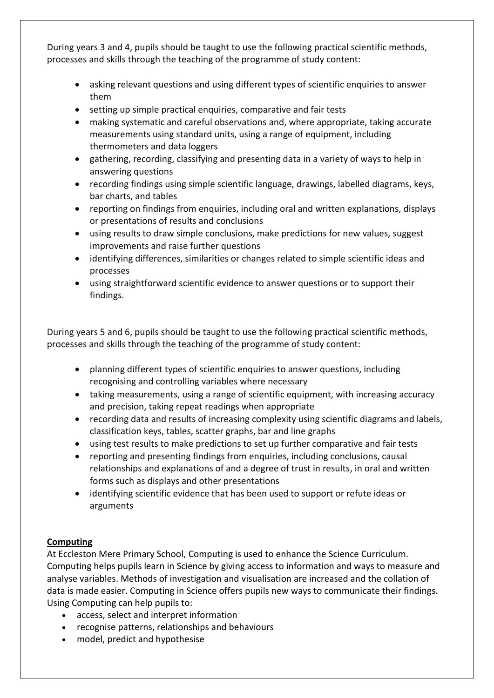During years 3 and 4, pupils should be taught to use the following practical scientific methods, processes and skills through the teaching of the programme of study content:

- asking relevant questions and using different types of scientific enquiries to answer them
- setting up simple practical enquiries, comparative and fair tests
- making systematic and careful observations and, where appropriate, taking accurate measurements using standard units, using a range of equipment, including thermometers and data loggers
- gathering, recording, classifying and presenting data in a variety of ways to help in answering questions
- recording findings using simple scientific language, drawings, labelled diagrams, keys, bar charts, and tables
- reporting on findings from enquiries, including oral and written explanations, displays or presentations of results and conclusions
- using results to draw simple conclusions, make predictions for new values, suggest improvements and raise further questions
- identifying differences, similarities or changes related to simple scientific ideas and processes
- using straightforward scientific evidence to answer questions or to support their findings.

During years 5 and 6, pupils should be taught to use the following practical scientific methods, processes and skills through the teaching of the programme of study content:

- planning different types of scientific enquiries to answer questions, including recognising and controlling variables where necessary
- taking measurements, using a range of scientific equipment, with increasing accuracy and precision, taking repeat readings when appropriate
- recording data and results of increasing complexity using scientific diagrams and labels, classification keys, tables, scatter graphs, bar and line graphs
- using test results to make predictions to set up further comparative and fair tests
- reporting and presenting findings from enquiries, including conclusions, causal relationships and explanations of and a degree of trust in results, in oral and written forms such as displays and other presentations
- identifying scientific evidence that has been used to support or refute ideas or arguments

# **Computing**

At Eccleston Mere Primary School, Computing is used to enhance the Science Curriculum. Computing helps pupils learn in Science by giving access to information and ways to measure and analyse variables. Methods of investigation and visualisation are increased and the collation of data is made easier. Computing in Science offers pupils new ways to communicate their findings. Using Computing can help pupils to:

- access, select and interpret information
- recognise patterns, relationships and behaviours
- model, predict and hypothesise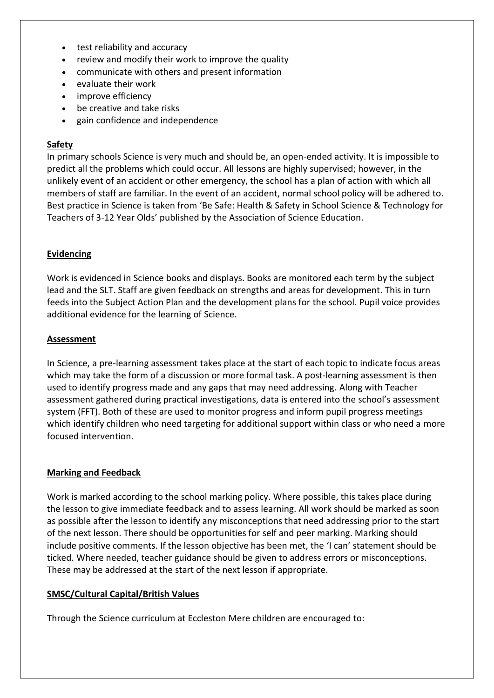- test reliability and accuracy
- review and modify their work to improve the quality
- communicate with others and present information
- evaluate their work
- improve efficiency
- be creative and take risks
- gain confidence and independence

## **Safety**

In primary schools Science is very much and should be, an open-ended activity. It is impossible to predict all the problems which could occur. All lessons are highly supervised; however, in the unlikely event of an accident or other emergency, the school has a plan of action with which all members of staff are familiar. In the event of an accident, normal school policy will be adhered to. Best practice in Science is taken from 'Be Safe: Health & Safety in School Science & Technology for Teachers of 3-12 Year Olds' published by the Association of Science Education.

## **Evidencing**

Work is evidenced in Science books and displays. Books are monitored each term by the subject lead and the SLT. Staff are given feedback on strengths and areas for development. This in turn feeds into the Subject Action Plan and the development plans for the school. Pupil voice provides additional evidence for the learning of Science.

#### **Assessment**

In Science, a pre-learning assessment takes place at the start of each topic to indicate focus areas which may take the form of a discussion or more formal task. A post-learning assessment is then used to identify progress made and any gaps that may need addressing. Along with Teacher assessment gathered during practical investigations, data is entered into the school's assessment system (FFT). Both of these are used to monitor progress and inform pupil progress meetings which identify children who need targeting for additional support within class or who need a more focused intervention.

## **Marking and Feedback**

Work is marked according to the school marking policy. Where possible, this takes place during the lesson to give immediate feedback and to assess learning. All work should be marked as soon as possible after the lesson to identify any misconceptions that need addressing prior to the start of the next lesson. There should be opportunities for self and peer marking. Marking should include positive comments. If the lesson objective has been met, the 'I can' statement should be ticked. Where needed, teacher guidance should be given to address errors or misconceptions. These may be addressed at the start of the next lesson if appropriate.

## **SMSC/Cultural Capital/British Values**

Through the Science curriculum at Eccleston Mere children are encouraged to: